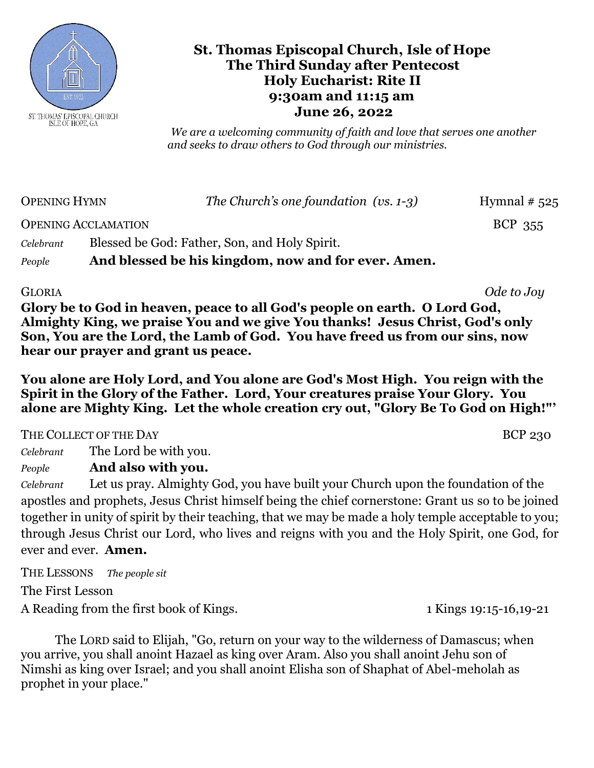

# **St. Thomas Episcopal Church, Isle of Hope The Third Sunday after Pentecost Holy Eucharist: Rite II 9:30am and 11:15 am June 26, 2022**

*We are a welcoming community of faith and love that serves one another and seeks to draw others to God through our ministries.*

| <b>OPENING HYMN</b>        | The Church's one foundation $(vs. 1-3)$             | Hymnal $#525$ |  |
|----------------------------|-----------------------------------------------------|---------------|--|
| <b>OPENING ACCLAMATION</b> |                                                     | BCP 355       |  |
| Celebrant                  | Blessed be God: Father, Son, and Holy Spirit.       |               |  |
| People                     | And blessed be his kingdom, now and for ever. Amen. |               |  |

GLORIA *Ode to Joy* 

**Glory be to God in heaven, peace to all God's people on earth. O Lord God, Almighty King, we praise You and we give You thanks! Jesus Christ, God's only Son, You are the Lord, the Lamb of God. You have freed us from our sins, now hear our prayer and grant us peace.**

**You alone are Holy Lord, and You alone are God's Most High. You reign with the Spirit in the Glory of the Father. Lord, Your creatures praise Your Glory. You alone are Mighty King. Let the whole creation cry out, "Glory Be To God on High!"'**

THE COLLECT OF THE DAY BCP 230

*Celebrant* The Lord be with you.

*People* **And also with you.**

*Celebrant* Let us pray. Almighty God, you have built your Church upon the foundation of the apostles and prophets, Jesus Christ himself being the chief cornerstone: Grant us so to be joined together in unity of spirit by their teaching, that we may be made a holy temple acceptable to you; through Jesus Christ our Lord, who lives and reigns with you and the Holy Spirit, one God, for ever and ever. **Amen.**

THE LESSONS *The people sit* The First Lesson A Reading from the first book of Kings. 1 Kings 19:15-16,19-21

The LORD said to Elijah, "Go, return on your way to the wilderness of Damascus; when you arrive, you shall anoint Hazael as king over Aram. Also you shall anoint Jehu son of Nimshi as king over Israel; and you shall anoint Elisha son of Shaphat of Abel-meholah as prophet in your place."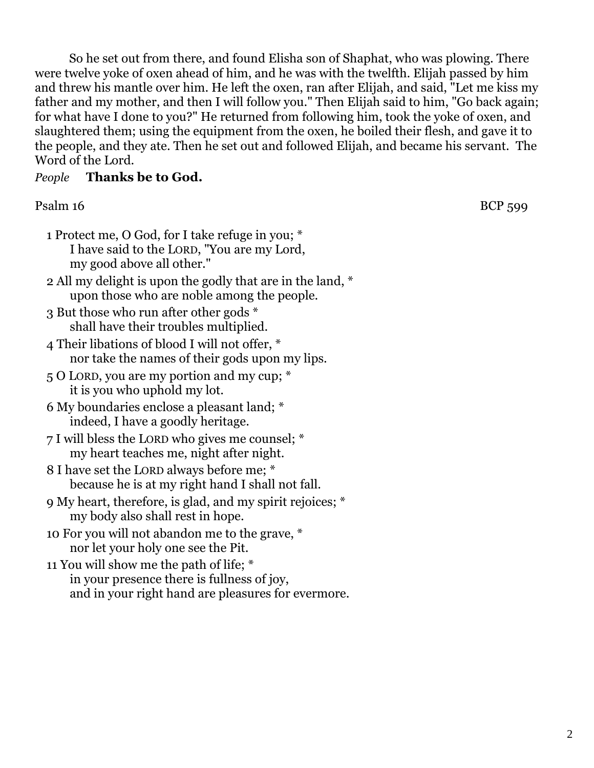So he set out from there, and found Elisha son of Shaphat, who was plowing. There were twelve yoke of oxen ahead of him, and he was with the twelfth. Elijah passed by him and threw his mantle over him. He left the oxen, ran after Elijah, and said, "Let me kiss my father and my mother, and then I will follow you." Then Elijah said to him, "Go back again; for what have I done to you?" He returned from following him, took the yoke of oxen, and slaughtered them; using the equipment from the oxen, he boiled their flesh, and gave it to the people, and they ate. Then he set out and followed Elijah, and became his servant. The Word of the Lord.

### *People* **Thanks be to God.**

Psalm 16 BCP 599

| 1 Protect me, O God, for I take refuge in you; * |  |
|--------------------------------------------------|--|
| I have said to the LORD, "You are my Lord,       |  |
| my good above all other."                        |  |
|                                                  |  |

- 2 All my delight is upon the godly that are in the land, \* upon those who are noble among the people.
- 3 But those who run after other gods \* shall have their troubles multiplied.
- 4 Their libations of blood I will not offer, \* nor take the names of their gods upon my lips.
- 5 O LORD, you are my portion and my cup; \* it is you who uphold my lot.
- 6 My boundaries enclose a pleasant land; \* indeed, I have a goodly heritage.
- 7 I will bless the LORD who gives me counsel; \* my heart teaches me, night after night.
- 8 I have set the LORD always before me; \* because he is at my right hand I shall not fall.
- 9 My heart, therefore, is glad, and my spirit rejoices; \* my body also shall rest in hope.
- 10 For you will not abandon me to the grave, \* nor let your holy one see the Pit.
- 11 You will show me the path of life; \* in your presence there is fullness of joy, and in your right hand are pleasures for evermore.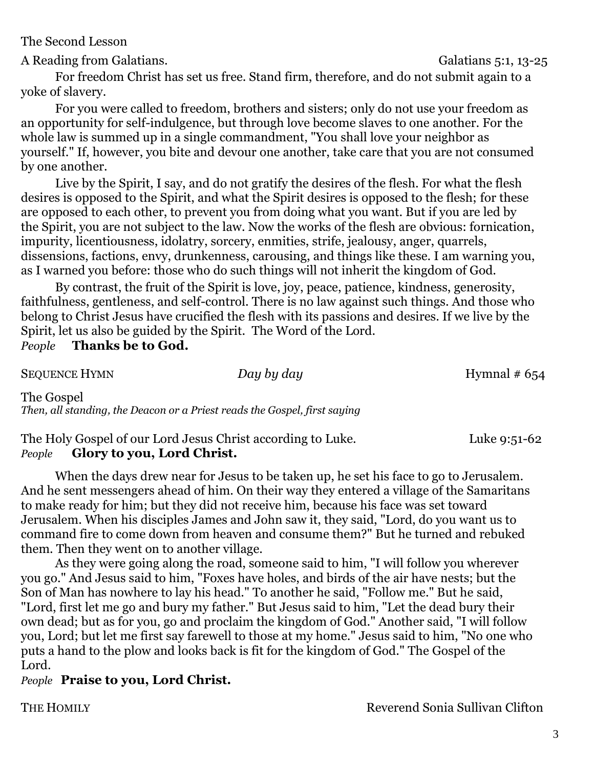### 3

The Second Lesson

A Reading from Galatians. Galatians 5:1, 13-25

For freedom Christ has set us free. Stand firm, therefore, and do not submit again to a yoke of slavery.

For you were called to freedom, brothers and sisters; only do not use your freedom as an opportunity for self-indulgence, but through love become slaves to one another. For the whole law is summed up in a single commandment, "You shall love your neighbor as yourself." If, however, you bite and devour one another, take care that you are not consumed by one another.

Live by the Spirit, I say, and do not gratify the desires of the flesh. For what the flesh desires is opposed to the Spirit, and what the Spirit desires is opposed to the flesh; for these are opposed to each other, to prevent you from doing what you want. But if you are led by the Spirit, you are not subject to the law. Now the works of the flesh are obvious: fornication, impurity, licentiousness, idolatry, sorcery, enmities, strife, jealousy, anger, quarrels, dissensions, factions, envy, drunkenness, carousing, and things like these. I am warning you, as I warned you before: those who do such things will not inherit the kingdom of God.

By contrast, the fruit of the Spirit is love, joy, peace, patience, kindness, generosity, faithfulness, gentleness, and self-control. There is no law against such things. And those who belong to Christ Jesus have crucified the flesh with its passions and desires. If we live by the Spirit, let us also be guided by the Spirit. The Word of the Lord.

*People* **Thanks be to God.**

| <b>SEQUENCE HYMN</b>                 | Day by day                                                                | Hymnal $\#$ 654 |
|--------------------------------------|---------------------------------------------------------------------------|-----------------|
| The Gospel                           | Then, all standing, the Deacon or a Priest reads the Gospel, first saying |                 |
| Glory to you, Lord Christ.<br>People | The Holy Gospel of our Lord Jesus Christ according to Luke.               | Luke 9:51-62    |
|                                      |                                                                           |                 |

When the days drew near for Jesus to be taken up, he set his face to go to Jerusalem. And he sent messengers ahead of him. On their way they entered a village of the Samaritans to make ready for him; but they did not receive him, because his face was set toward Jerusalem. When his disciples James and John saw it, they said, "Lord, do you want us to command fire to come down from heaven and consume them?" But he turned and rebuked them. Then they went on to another village.

As they were going along the road, someone said to him, "I will follow you wherever you go." And Jesus said to him, "Foxes have holes, and birds of the air have nests; but the Son of Man has nowhere to lay his head." To another he said, "Follow me." But he said, "Lord, first let me go and bury my father." But Jesus said to him, "Let the dead bury their own dead; but as for you, go and proclaim the kingdom of God." Another said, "I will follow you, Lord; but let me first say farewell to those at my home." Jesus said to him, "No one who puts a hand to the plow and looks back is fit for the kingdom of God." The Gospel of the Lord.

# *People* **Praise to you, Lord Christ.**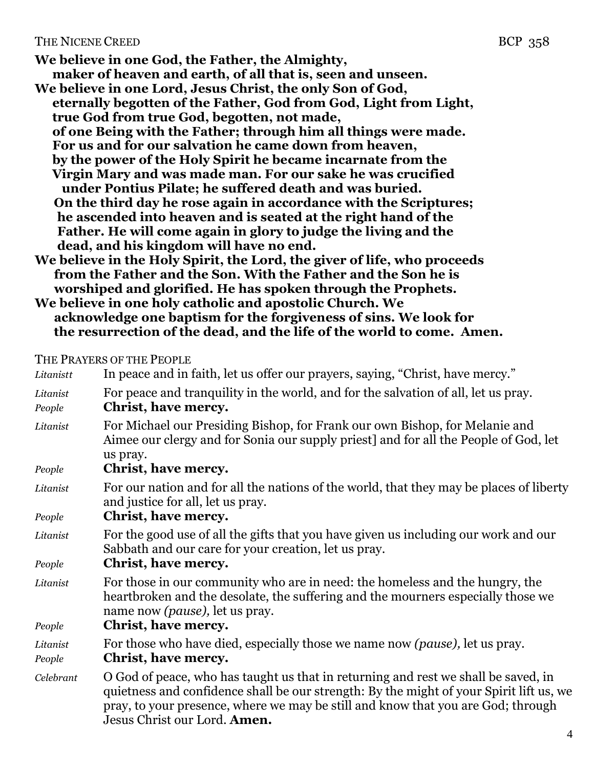### THE NICENE CREED BCP 358

**We believe in one God, the Father, the Almighty, maker of heaven and earth, of all that is, seen and unseen.**

- **We believe in one Lord, Jesus Christ, the only Son of God, eternally begotten of the Father, God from God, Light from Light, true God from true God, begotten, not made, of one Being with the Father; through him all things were made. For us and for our salvation he came down from heaven, by the power of the Holy Spirit he became incarnate from the Virgin Mary and was made man. For our sake he was crucified under Pontius Pilate; he suffered death and was buried. On the third day he rose again in accordance with the Scriptures; he ascended into heaven and is seated at the right hand of the Father. He will come again in glory to judge the living and the dead, and his kingdom will have no end.**
- **We believe in the Holy Spirit, the Lord, the giver of life, who proceeds from the Father and the Son. With the Father and the Son he is worshiped and glorified. He has spoken through the Prophets.**

**We believe in one holy catholic and apostolic Church. We acknowledge one baptism for the forgiveness of sins. We look for the resurrection of the dead, and the life of the world to come. Amen.**

THE PRAYERS OF THE PEOPLE

*Litanistt* In peace and in faith, let us offer our prayers, saying, "Christ, have mercy." *Litanist* For peace and tranquility in the world, and for the salvation of all, let us pray. *People* **Christ, have mercy.** *Litanist* For Michael our Presiding Bishop, for Frank our own Bishop, for Melanie and Aimee our clergy and for Sonia our supply priest] and for all the People of God, let us pray. *People* **Christ, have mercy.** *Litanist* For our nation and for all the nations of the world, that they may be places of liberty and justice for all, let us pray. *People* **Christ, have mercy.** *Litanist* For the good use of all the gifts that you have given us including our work and our Sabbath and our care for your creation, let us pray. *People* **Christ, have mercy.** *Litanist* For those in our community who are in need: the homeless and the hungry, the heartbroken and the desolate, the suffering and the mourners especially those we name now *(pause),* let us pray. *People* **Christ, have mercy.** *Litanist* For those who have died, especially those we name now *(pause)*, let us pray. *People* **Christ, have mercy.** *Celebrant* O God of peace, who has taught us that in returning and rest we shall be saved, in quietness and confidence shall be our strength: By the might of your Spirit lift us, we pray, to your presence, where we may be still and know that you are God; through Jesus Christ our Lord. **Amen.**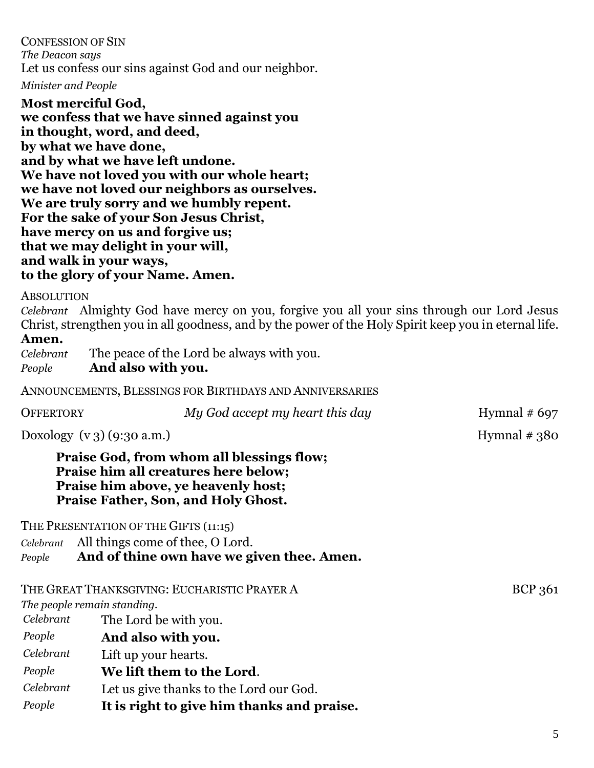CONFESSION OF SIN *The Deacon says* Let us confess our sins against God and our neighbor.

*Minister and People*

**Most merciful God, we confess that we have sinned against you in thought, word, and deed, by what we have done, and by what we have left undone. We have not loved you with our whole heart; we have not loved our neighbors as ourselves. We are truly sorry and we humbly repent. For the sake of your Son Jesus Christ, have mercy on us and forgive us; that we may delight in your will, and walk in your ways, to the glory of your Name. Amen.**

### ABSOLUTION

*Celebrant* Almighty God have mercy on you, forgive you all your sins through our Lord Jesus Christ, strengthen you in all goodness, and by the power of the Holy Spirit keep you in eternal life. **Amen.**

*Celebrant* The peace of the Lord be always with you.

*People* **And also with you.**

ANNOUNCEMENTS, BLESSINGS FOR BIRTHDAYS AND ANNIVERSARIES

| <b>OFFERTORY</b>             | My God accept my heart this day                                                                                                                                                             | Hymnal $#697$  |  |
|------------------------------|---------------------------------------------------------------------------------------------------------------------------------------------------------------------------------------------|----------------|--|
| Doxology $(v_3)$ (9:30 a.m.) |                                                                                                                                                                                             | Hymnal $#380$  |  |
|                              | <b>Praise God, from whom all blessings flow;</b><br><b>Praise him all creatures here below;</b><br><b>Praise him above, ye heavenly host;</b><br><b>Praise Father, Son, and Holy Ghost.</b> |                |  |
|                              | THE PRESENTATION OF THE GIFTS (11:15)                                                                                                                                                       |                |  |
| Celebrant                    | All things come of thee, O Lord.                                                                                                                                                            |                |  |
| People                       | And of thine own have we given thee. Amen.                                                                                                                                                  |                |  |
| The people remain standing.  | THE GREAT THANKSGIVING: EUCHARISTIC PRAYER A                                                                                                                                                | <b>BCP 361</b> |  |
| Celebrant                    | The Lord be with you.                                                                                                                                                                       |                |  |
| People                       | And also with you.                                                                                                                                                                          |                |  |
| Celebrant                    | Lift up your hearts.                                                                                                                                                                        |                |  |
| People                       | We lift them to the Lord.                                                                                                                                                                   |                |  |
| Celebrant                    | Let us give thanks to the Lord our God.                                                                                                                                                     |                |  |
| People                       | It is right to give him thanks and praise.                                                                                                                                                  |                |  |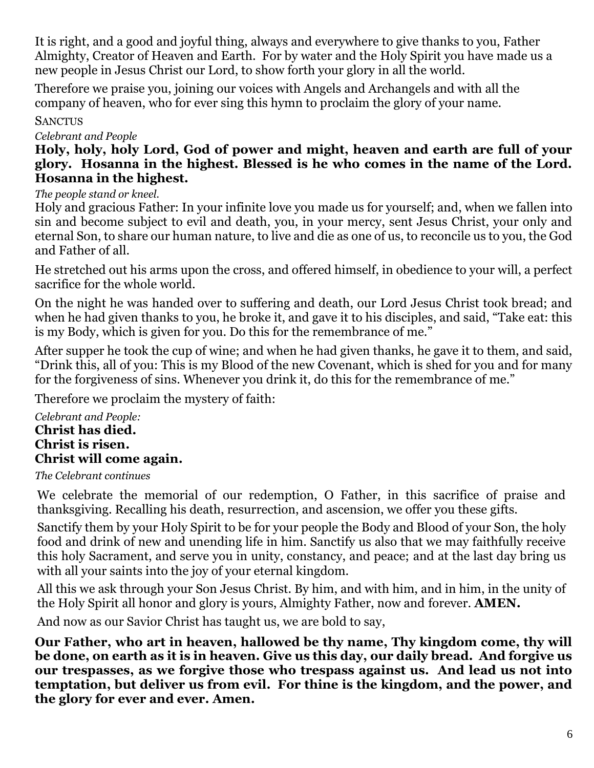It is right, and a good and joyful thing, always and everywhere to give thanks to you, Father Almighty, Creator of Heaven and Earth. For by water and the Holy Spirit you have made us a new people in Jesus Christ our Lord, to show forth your glory in all the world.

Therefore we praise you, joining our voices with Angels and Archangels and with all the company of heaven, who for ever sing this hymn to proclaim the glory of your name.

**SANCTUS** 

*Celebrant and People*

**Holy, holy, holy Lord, God of power and might, heaven and earth are full of your glory. Hosanna in the highest. Blessed is he who comes in the name of the Lord. Hosanna in the highest.**

*The people stand or kneel.*

Holy and gracious Father: In your infinite love you made us for yourself; and, when we fallen into sin and become subject to evil and death, you, in your mercy, sent Jesus Christ, your only and eternal Son, to share our human nature, to live and die as one of us, to reconcile us to you, the God and Father of all.

He stretched out his arms upon the cross, and offered himself, in obedience to your will, a perfect sacrifice for the whole world.

On the night he was handed over to suffering and death, our Lord Jesus Christ took bread; and when he had given thanks to you, he broke it, and gave it to his disciples, and said, "Take eat: this is my Body, which is given for you. Do this for the remembrance of me."

After supper he took the cup of wine; and when he had given thanks, he gave it to them, and said, "Drink this, all of you: This is my Blood of the new Covenant, which is shed for you and for many for the forgiveness of sins. Whenever you drink it, do this for the remembrance of me."

Therefore we proclaim the mystery of faith:

*Celebrant and People:* **Christ has died. Christ is risen. Christ will come again.**

*The Celebrant continues*

We celebrate the memorial of our redemption, O Father, in this sacrifice of praise and thanksgiving. Recalling his death, resurrection, and ascension, we offer you these gifts.

Sanctify them by your Holy Spirit to be for your people the Body and Blood of your Son, the holy food and drink of new and unending life in him. Sanctify us also that we may faithfully receive this holy Sacrament, and serve you in unity, constancy, and peace; and at the last day bring us with all your saints into the joy of your eternal kingdom.

All this we ask through your Son Jesus Christ. By him, and with him, and in him, in the unity of the Holy Spirit all honor and glory is yours, Almighty Father, now and forever. **AMEN.**

And now as our Savior Christ has taught us, we are bold to say,

**Our Father, who art in heaven, hallowed be thy name, Thy kingdom come, thy will be done, on earth as it is in heaven. Give us this day, our daily bread. And forgive us our trespasses, as we forgive those who trespass against us. And lead us not into temptation, but deliver us from evil. For thine is the kingdom, and the power, and the glory for ever and ever. Amen.**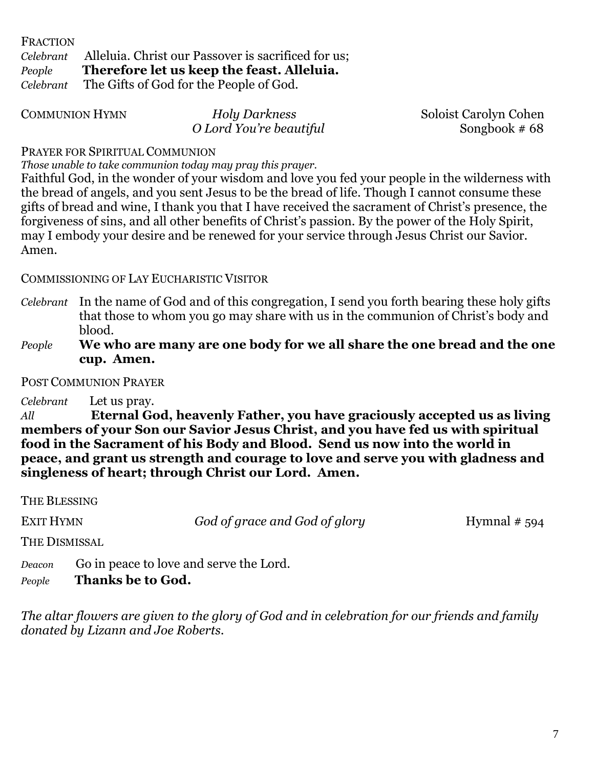### FRACTION

| Celebrant | Alleluia. Christ our Passover is sacrificed for us; |
|-----------|-----------------------------------------------------|
| People    | Therefore let us keep the feast. Alleluia.          |
| Celebrant | The Gifts of God for the People of God.             |

| <b>COMMUNION HYMN</b> | Holy Darkness           |  |
|-----------------------|-------------------------|--|
|                       | O Lord You're beautiful |  |

**Soloist Carolyn Cohen**  $Songbook # 68$ 

### PRAYER FOR SPIRITUAL COMMUNION

*Those unable to take communion today may pray this prayer.*

Faithful God, in the wonder of your wisdom and love you fed your people in the wilderness with the bread of angels, and you sent Jesus to be the bread of life. Though I cannot consume these gifts of bread and wine, I thank you that I have received the sacrament of Christ's presence, the forgiveness of sins, and all other benefits of Christ's passion. By the power of the Holy Spirit, may I embody your desire and be renewed for your service through Jesus Christ our Savior. Amen.

COMMISSIONING OF LAY EUCHARISTIC VISITOR

- *Celebrant* In the name of God and of this congregation, I send you forth bearing these holy gifts that those to whom you go may share with us in the communion of Christ's body and blood.
- *People* **We who are many are one body for we all share the one bread and the one cup. Amen.**

### POST COMMUNION PRAYER

*Celebrant* Let us pray.

*All* **Eternal God, heavenly Father, you have graciously accepted us as living members of your Son our Savior Jesus Christ, and you have fed us with spiritual food in the Sacrament of his Body and Blood. Send us now into the world in peace, and grant us strength and courage to love and serve you with gladness and singleness of heart; through Christ our Lord. Amen.**

| THE BLESSING              |                                                                 |                               |               |
|---------------------------|-----------------------------------------------------------------|-------------------------------|---------------|
| EXIT HYMN                 |                                                                 | God of grace and God of glory | Hymnal $#594$ |
| <b>THE DISMISSAL</b>      |                                                                 |                               |               |
| Deacon                    | Go in peace to love and serve the Lord.                         |                               |               |
| $\mathbf{r}$ $\mathbf{r}$ | $\mathbf{L}$ and $\mathbf{L}$ and $\mathbf{L}$ and $\mathbf{L}$ |                               |               |

*People* **Thanks be to God.** 

*The altar flowers are given to the glory of God and in celebration for our friends and family donated by Lizann and Joe Roberts.*